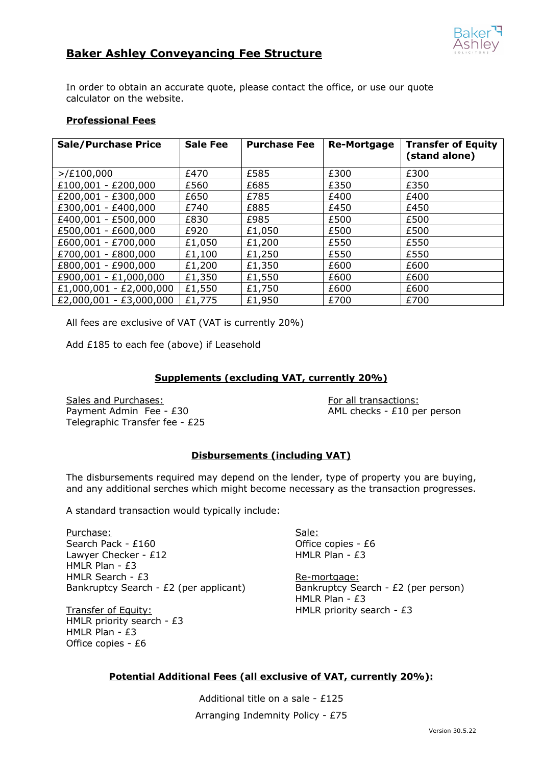

# **Baker Ashley Conveyancing Fee Structure**

In order to obtain an accurate quote, please contact the office, or use our quote calculator on the website.

#### **Professional Fees**

| <b>Sale/Purchase Price</b> | <b>Sale Fee</b> | <b>Purchase Fee</b> | <b>Re-Mortgage</b> | <b>Transfer of Equity</b><br>(stand alone) |
|----------------------------|-----------------|---------------------|--------------------|--------------------------------------------|
| $>$ /£100,000              | £470            | £585                | £300               | £300                                       |
| £100,001 - £200,000        | £560            | £685                | £350               | £350                                       |
| £200,001 - £300,000        | £650            | £785                | £400               | £400                                       |
| £300,001 - £400,000        | £740            | £885                | £450               | £450                                       |
| £400,001 - £500,000        | £830            | £985                | £500               | £500                                       |
| £500,001 - £600,000        | £920            | £1,050              | £500               | £500                                       |
| £600,001 - £700,000        | £1,050          | £1,200              | £550               | £550                                       |
| £700,001 - £800,000        | £1,100          | £1,250              | £550               | £550                                       |
| £800,001 - £900,000        | £1,200          | £1,350              | £600               | £600                                       |
| £900,001 - £1,000,000      | £1,350          | £1,550              | £600               | £600                                       |
| $£1,000,001 - £2,000,000$  | £1,550          | £1,750              | £600               | £600                                       |
| $£2,000,001 - £3,000,000$  | £1,775          | £1,950              | £700               | £700                                       |

All fees are exclusive of VAT (VAT is currently 20%)

Add £185 to each fee (above) if Leasehold

### **Supplements (excluding VAT, currently 20%)**

Sales and Purchases: For all transactions: For all transactions: Payment Admin Fee -  $£30$  AML checks -  $£10$  per person Telegraphic Transfer fee - £25

# **Disbursements (including VAT)**

The disbursements required may depend on the lender, type of property you are buying, and any additional serches which might become necessary as the transaction progresses.

A standard transaction would typically include:

Purchase: Sale: Sale: Sale: Sale: Sale: Sale: Sale: Sale: Sale: Sale: Sale: Sale: Sale: Sale: Sale: Sale: Sale: Sale: Sale: Sale: Sale: Sale: Sale: Sale: Sale: Sale: Sale: Sale: Sale: Sale: Sale: Sale: Sale: Sale: Sale: Sa Search Pack - £160 Channel Company Contract Company Office copies - £6 Lawyer Checker - £12 HMLR Plan - £3 HMLR Plan - £3 HMLR Search - £3 Re-mortgage: Bankruptcy Search - £2 (per applicant) Bankruptcy Search - £2 (per person)

HMLR priority search - £3 HMLR Plan - £3 Office copies - £6

HMLR Plan - £3 Transfer of Equity: Transfer of Equity:

# **Potential Additional Fees (all exclusive of VAT, currently 20%):**

Additional title on a sale - £125 Arranging Indemnity Policy - £75